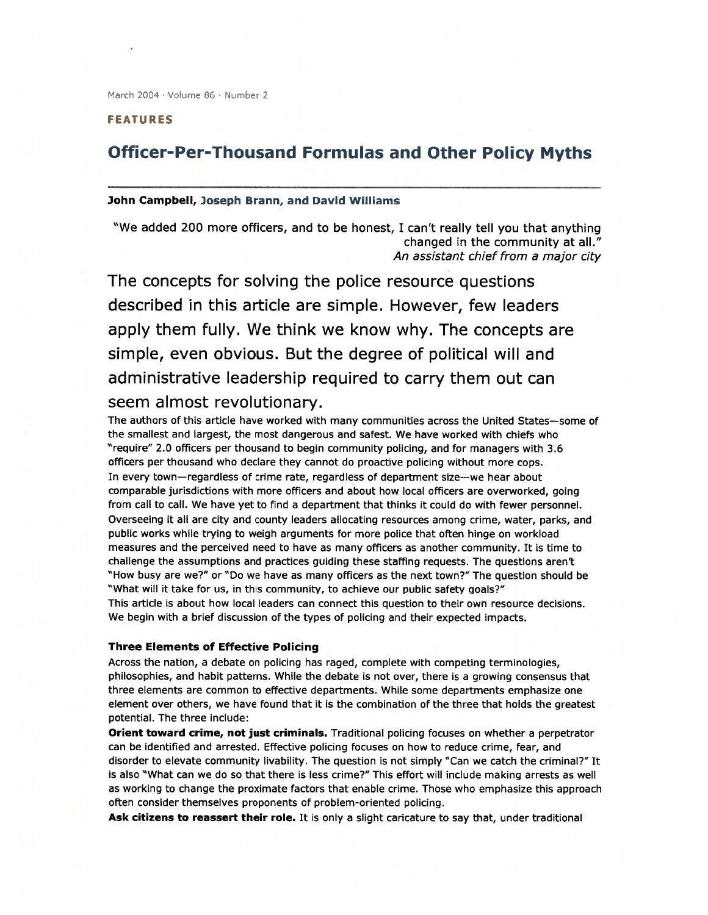March 2004 · Volume 86 · Number 2

FEATURES

# Officer-Per-Thousand Formulas and Other Policy Myths

## John Campbell, Joseph Brann, and David Williams

"We added 200 more officers, and to be honest, <sup>I</sup> can't really tell you that anything changed in the community at all." An assistant chief from <sup>a</sup> major city

The concepts for solving the police resource questions described in this article are simple. However, few leaders apply them fully. We think we know why. The concepts are simple, even obvious. But the degree of political will and administrative leadership required to carry them out can seem almost revolutionary.

The authors of this article have worked with many communities across the United States—some of the smallest and largest, the most dangerous and safest. We have worked with chiefs who "require" 2.0 officers per thousand to begin community policing, and for managers with 3.6 officers per thousand who declare they cannot do proactive policing without more cops. In every town—regardless of crime rate, regardless of department size—we hear about comparable jurisdictions with more officers and about how local officers are overworked, going from call to call. We have ye<sup>t</sup> to find <sup>a</sup> department that thinks it could do with fewer personnel. Overseeing it all are city and county leaders allocating resources among crime, water, parks, and public works while trying to weigh arguments for more police that often hinge on workload measures and the perceived need to have as many officers as another community. It is time to challenge the assumptions and practices guiding these staffing requests. The questions aren't "How busy are we?" or "Do we have as many officers as the next town?" The question should be "What will it take for us, in this community, to achieve our public safety goals?" This article is about how local leaders can connect this question to their own resource decisions. We begin with <sup>a</sup> brief discussion of the types of policing and their expected impacts.

### Three Elements of Effective Policing

Across the nation, <sup>a</sup> debate on policing has raged, complete with competing terminologies, philosophies, and habit patterns. While the debate is not over, there is <sup>a</sup> growing consensus that three elements are common to effective departments. While some departments emphasize one element over others, we have found that it is the combination of the three that holds the greatest potential. The three include:

Orient toward crime, not just criminals. Traditional policing focuses on whether <sup>a</sup> perpetrator can be identified and arrested. Effective policing focuses on how to reduce crime, fear, and disorder to elevate community livability. The question is not simply "Can we catch the criminal?" It is also "What can we do so that there is less crime?" This effort will include making arrests as well as working to change the proximate factors that enable crime. Those who emphasize this approach often consider themselves proponents of problem-oriented policing.

Ask citizens to reassert their role. It is only a slight caricature to say that, under traditional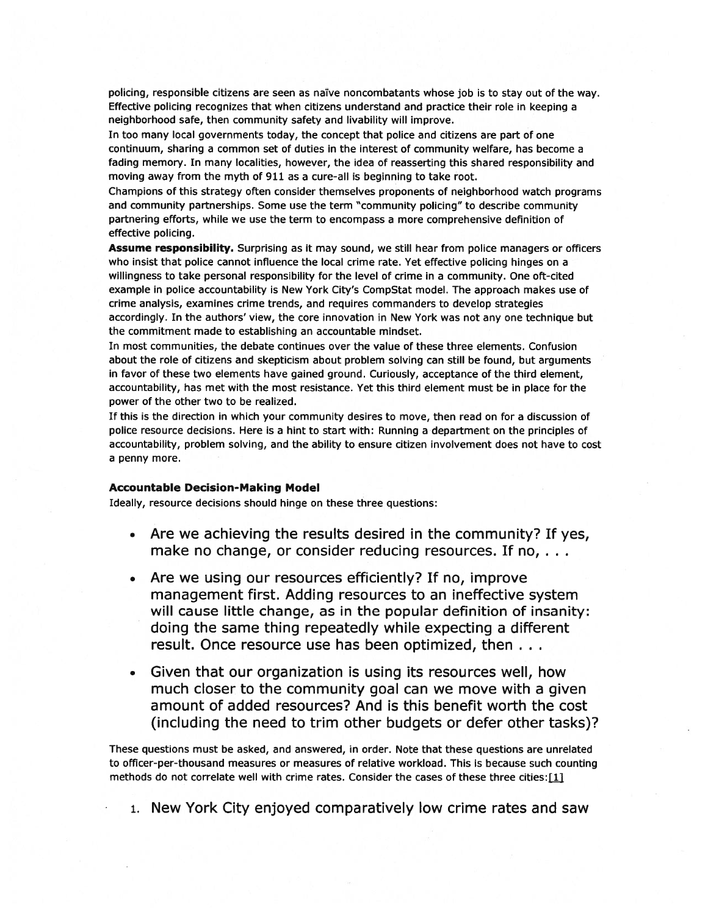policing, responsible citizens are seen as naïve noncombatants whose job is to stay out of the way. Effective policing recognizes that when citizens understand and practice their role in keeping <sup>a</sup> neighborhood safe, then community safety and livability will improve.

In too many local governments today, the concep<sup>t</sup> that police and citizens are par<sup>t</sup> of one continuum, sharing <sup>a</sup> common set of duties in the interest of community welfare, has become <sup>a</sup> fading memory. In many localities, however, the idea of reasserting this shared responsibility and moving away from the myth of 911 as <sup>a</sup> cure-all is beginning to take root.

Champions of this strategy often consider themselves proponents of neighborhood watch programs and community partnerships. Some use the term "community policing" to describe community partnering efforts, while we use the term to encompass <sup>a</sup> more comprehensive definition of effective policing.

Assume responsibility. Surprising as it may sound, we still hear from police managers or officers who insist that police cannot influence the local crime rate. Yet effective policing hinges on <sup>a</sup> willingness to take personal responsibility for the level of crime in <sup>a</sup> community. One oft-cited example in police accountability is New York City's CompStat model. The approach makes use of crime analysis, examines crime trends, and requires commanders to develop strategies accordingly. In the authors' view, the core innovation in New York was not any one technique but the commitment made to establishing an accountable mindset.

In most communities, the debate continues over the value of these three elements. Confusion about the role of citizens and skepticism about problem solving can still be found, but arguments in favor of these two elements have gained ground. Curiously, acceptance of the third element, accountability, has met with the most resistance. Yet this third element must be in place for the power of the other two to be realized.

If this is the direction in which your community desires to move, then read on for <sup>a</sup> discussion of police resource decisions. Here is <sup>a</sup> hint to start with: Running <sup>a</sup> department on the principles of accountability, problem solving, and the ability to ensure citizen involvement does not have to cost <sup>a</sup> penny more.

### Accountable Decision-Making Model

Ideally, resource decisions should hinge on these three questions:

- • Are we achieving the results desired in the community? If yes, make no change, or consider reducing resources. If no, ...
- • Are we using our resources efficiently? If no, improve managemen<sup>t</sup> first. Adding resources to an ineffective system will cause little change, as in the popular definition of insanity: doing the same thing repeatedly while expecting <sup>a</sup> different result. Once resource use has been optimized, then .
- • Given that our organization is using its resources well, how much closer to the community goal can we move with <sup>a</sup> given amount of added resources? And is this benefit worth the cost (including the need to trim other budgets or defer other tasks)?

These questions must be asked, and answered, in order. Note that these questions are unrelated to officer-per-thousand measures or measures of relative workload. This is because such counting methods do not correlate well with crime rates. Consider the cases of these three cities: [1]

1. New York City enjoyed comparatively low crime rates and saw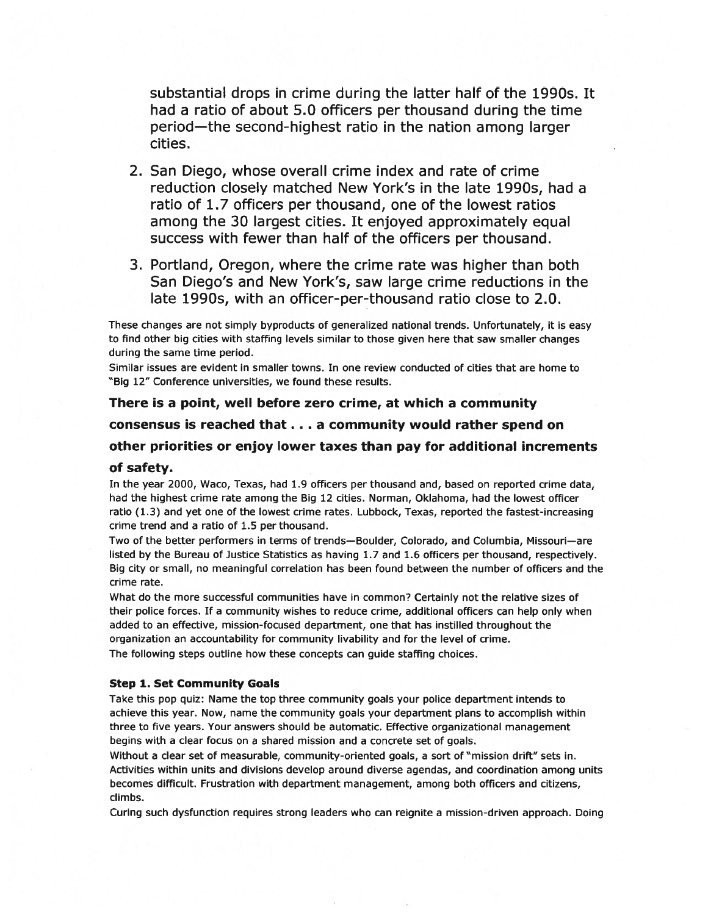substantial drops in crime during the latter half of the 1990s. It had <sup>a</sup> ratio of about 5.0 officers per thousand during the time period—the second-highest ratio in the nation among larger cities.

- 2. San Diego, whose overall crime index and rate of crime reduction closely matched New York's in the late 1990s, had <sup>a</sup> ratio of 1.7 officers per thousand, one of the lowest ratios among the 30 largest cities. It enjoyed approximately equal success with fewer than half of the officers per thousand.
- 3. Portland, Oregon, where the crime rate was higher than both San Diego's and New York's, saw large crime reductions in the late 1990s, with an officer-per-thousand ratio close to 2.0.

These changes are not simply byproducts of generalized national trends. Unfortunately, it is easy to find other big cities with staffing levels similar to those given here that saw smaller changes during the same time period.

Similar issues are evident in smaller towns. In one review conducted of cities that are home to "Big 12" Conference universities, we found these results.

There is a point, well before zero crime, at which a community consensus is reached that.. <sup>a</sup> community would rather spend on other priorities or enjoy lower taxes than pay for additional increments of safety. In the year 2000, Waco, Texas, had 1.9 officers per thousand and, based on reported crime data, had the highest crime rate among the Big 12 cities. Norman, Oklahoma, had the lowest officer

ratio (1.3) and ye<sup>t</sup> one of the lowest crime rates. Lubbock, Texas, reported the fastest-increasing crime trend and <sup>a</sup> ratio of 1.5 per thousand.

Two of the better performers in terms of trends—Boulder, Colorado, and Columbia, Missouri—are listed by the Bureau of Justice Statistics as having 1.7 and 1.6 officers per thousand, respectively. Big city or small, no meaningful correlation has been found between the number of officers and the crime rate.

What do the more successful communities have in common? Certainly not the relative sizes of their police forces. If <sup>a</sup> community wishes to reduce crime, additional officers can help only when added to an effective, mission-focused department, one that has instilled throughout the organization an accountability for community livability and for the level of crime. The following steps outline how these concepts can guide staffing choices.

### Step 1. Set Community Goals

Take this pop quiz: Name the top three community goals your police department intends to achieve this year. Now, name the community goals your department plans to accomplish within three to five years. Your answers should be automatic. Effective organizational managemen<sup>t</sup> begins with <sup>a</sup> clear focus on <sup>a</sup> shared mission and <sup>a</sup> concrete set of goals.

Without <sup>a</sup> clear set of measurable, community-oriented goals, <sup>a</sup> sort of "mission drift" sets in. Activities within units and divisions develop around diverse agendas, and coordination among units becomes difficult. Frustration with department management, among both officers and citizens, climbs.

Curing such dysfunction requires strong leaders who can reignite <sup>a</sup> mission-driven approach. Doing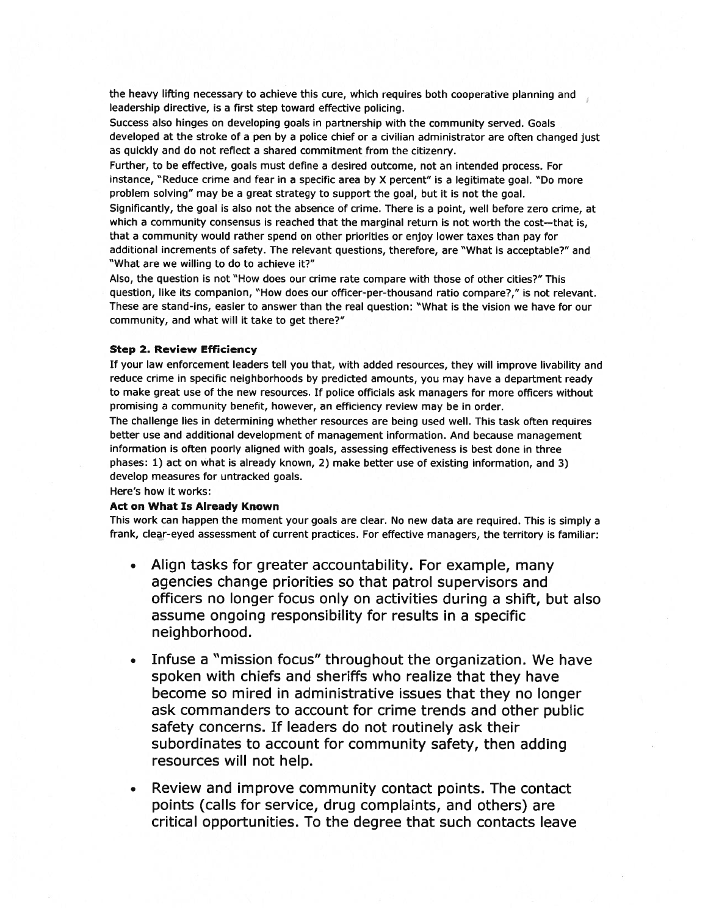the heavy lifting necessary to achieve this cure, which requires both cooperative <sup>p</sup>lanning and leadership directive, is <sup>a</sup> first step toward effective policing.

Success also hinges on developing goals in partnership with the community served. Goals developed at the stroke of <sup>a</sup> pen by <sup>a</sup> police chief or <sup>a</sup> civilian administrator are often changed just as quickly and do not reflect <sup>a</sup> shared commitment from the citizenry.

Further, to be effective, goals must define <sup>a</sup> desired outcome, not an intended process. For instance, "Reduce crime and fear in <sup>a</sup> specific area by <sup>X</sup> percent" is <sup>a</sup> legitimate goal. "Do more problem solving" may be <sup>a</sup> grea<sup>t</sup> strategy to suppor<sup>t</sup> the goal, but it is not the goal.

Significantly, the goal is also not the absence of crime. There is <sup>a</sup> point, well before zero crime, at which <sup>a</sup> community consensus is reached that the marginal return is not worth the cost—that is, that <sup>a</sup> community would rather spend on other priorities or enjoy lower taxes than pay for additional increments of safety. The relevant questions, therefore, are "What is acceptable?" and "What are we willing to do to achieve it?"

Also, the question is not "How does our crime rate compare with those of other cities?" This question, like its companion, "How does our officer-per-thousand ratio compare?," is not relevant. These are stand-ins, easier to answer than the real question: "What is the vision we have for our community, and what will it take to ge<sup>t</sup> there?"

#### Step 2. Review Efficiency

If your law enforcement leaders tell you that, with added resources, they will improve livability and reduce crime in specific neighborhoods by predicted amounts, you may have <sup>a</sup> department ready to make grea<sup>t</sup> use of the new resources. If police officials ask managers for more officers without promising <sup>a</sup> community benefit, however, an efficiency review may be in order.

The challenge lies in determining whether resources are being used well. This task often requires better use and additional development of managemen<sup>t</sup> information. And because managemen<sup>t</sup> information is often poorly aligned with goals, assessing effectiveness is best done in three phases: 1) act on what is already known, 2) make better use of existing information, and 3) develop measures for untracked goals.

Here's how it works:

### Act on What Is Already Known

This work can happen the moment your goals are clear. No new data are required. This is simply <sup>a</sup> frank, clear-eyed assessment of current practices. For effective managers, the territory is familiar:

- Align tasks for greater accountability. For example, many agencies change priorities so that patrol supervisors and officers no longer focus only on activities during <sup>a</sup> shift, but also assume ongoing responsibility for results in <sup>a</sup> specific neighborhood.
- • Infuse <sup>a</sup> "mission focus" throughout the organization. We have spoken with chiefs and sheriffs who realize that they have become so mired in administrative issues that they no longer ask commanders to account for crime trends and other public safety concerns. If leaders do not routinely ask their subordinates to account for community safety, then adding resources will not help.
- • Review and improve community contact points. The contact points (calls for service, drug complaints, and others) are critical opportunities. To the degree that such contacts leave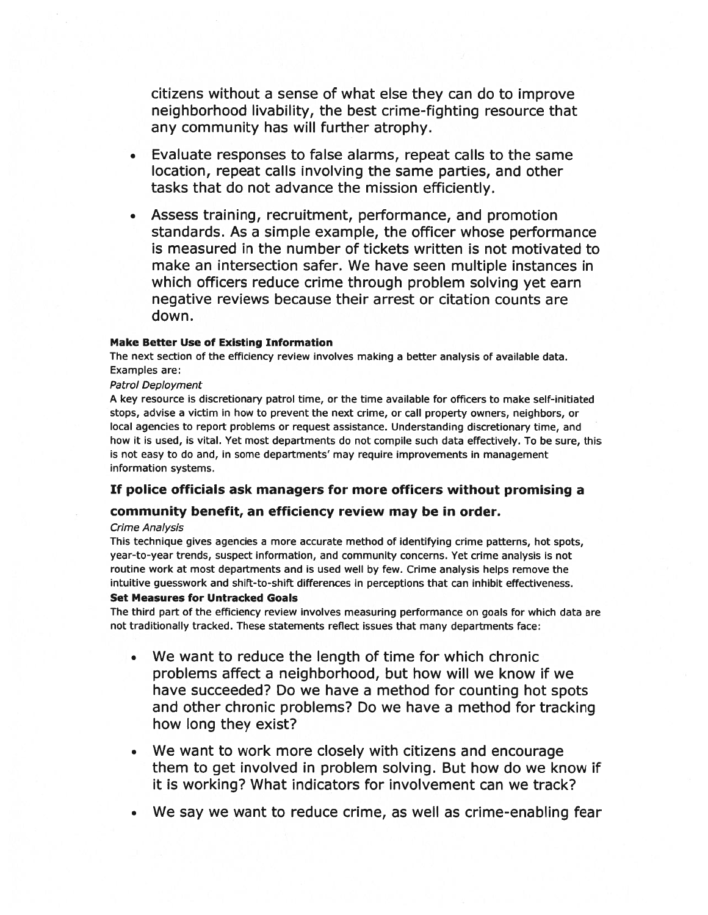citizens without <sup>a</sup> sense of what else they can do to improve neighborhood livability, the best crime-fighting resource that any community has will further atrophy.

- Evaluate responses to false alarms, repea<sup>t</sup> calls to the same location, repea<sup>t</sup> calls involving the same parties, and other tasks that do not advance the mission efficiently.
- • Assess training, recruitment, performance, and promotion standards. As <sup>a</sup> simple example, the officer whose performance is measured in the number of tickets written is not motivated to make an intersection safer. We have seen multiple instances in which officers reduce crime through problem solving ye<sup>t</sup> earn negative reviews because their arrest or citation counts are down.

### Make Better Use of Existing Information

The next section of the efficiency review involves making <sup>a</sup> better analysis of available data. Examples are:

### Patrol Deployment

A key resource is discretionary patrol time, or the time available for officers to make self-initiated stops, advise <sup>a</sup> victim in how to preven<sup>t</sup> the next crime, or call property owners, neighbors, or local agencies to repor<sup>t</sup> problems or reques<sup>t</sup> assistance. Understanding discretionary time, and how it is used, is vital. Yet most departments do not compile such data effectively. To be sure, this is not easy to do and, in some departments' may require improvements in managemen<sup>t</sup> information systems.

# If police officials ask managers for more officers without promising <sup>a</sup>

# community benefit, an efficiency review may be in order.

### Crime Analysis

This technique gives agencies <sup>a</sup> more accurate method of identifying crime patterns, hot spots, year-to-year trends, suspec<sup>t</sup> information, and community concerns. Yet crime analysis is not routine work at most departments and is used well by few. Crime analysis helps remove the intuitive guesswork and shift-to-shift differences in perceptions that can inhibit effectiveness.

### Set Measures for Untracked Goals

The third par<sup>t</sup> of the efficiency review involves measuring performance on goals for which data are not traditionally tracked. These statements reflect issues that many departments face:

- • We want to reduce the length of time for which chronic problems affect <sup>a</sup> neighborhood, but how will we know if we have succeeded? Do we have <sup>a</sup> method for counting hot spots and other chronic problems? Do we have <sup>a</sup> method for tracking how long they exist?
- • We want to work more closely with citizens and encourage them to ge<sup>t</sup> involved in problem solving. But how do we know if it is working? What indicators for involvement can we track?
- We say we want to reduce crime, as well as crime-enabling fear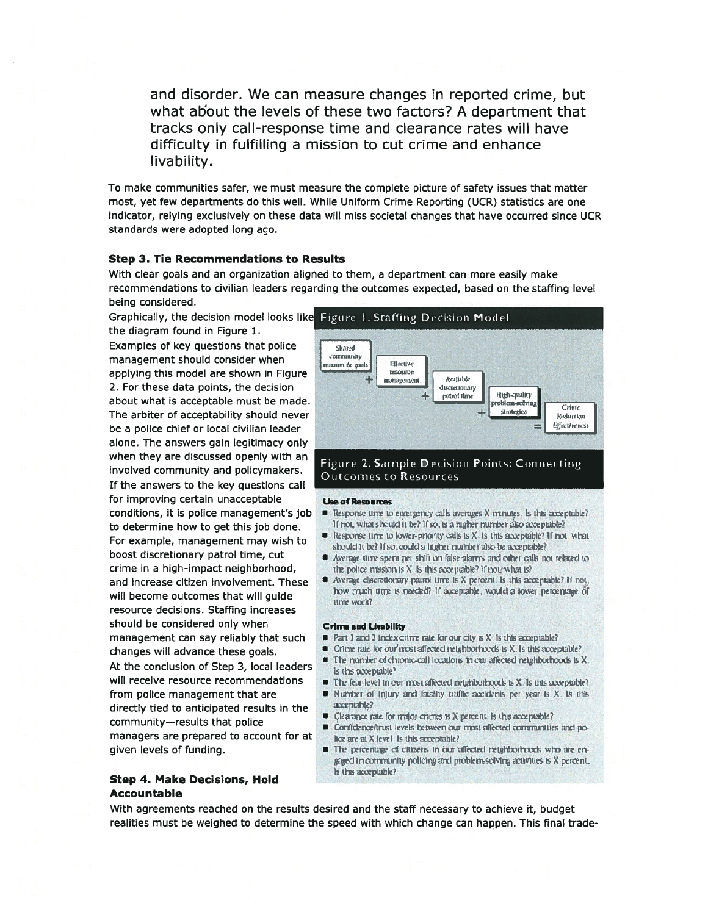and disorder. We can measure changes in reported crime, but what about the levels of these two factors? A department that tracks only call-response time and clearance rates will have difficulty in fulfilling <sup>a</sup> mission to cut crime and enhance livability.

To make communities safer, we must measure the complete picture of safety issues that matter most, ye<sup>t</sup> few departments do this well. While Uniform Crime Reporting (UCR) statistics are one indicator, relying exclusively on these data will miss societal changes that have occurred since UCR standards were adopted long ago.

### Step 3. Tie Recommendations to Results

being considered. With clear goals and an organization aligned to them, <sup>a</sup> department can more easily make recommendations to civilian leaders regarding the outcomes expected, based on the staffing level

the diagram found in Figure 1. Examples of key questions that police managemen<sup>t</sup> should consider when applying this model are shown in Figure 2. For these data points, the decision about what is acceptable must be made. The arbiter of acceptability should never be <sup>a</sup> police chief or local civilian leader alone. The answers gain legitimacy only when they are discussed openly with an involved community and policymakers. If the answers to the key questions call for improving certain unacceptable conditions, it is police management's job to determine how to ge<sup>t</sup> this job done. For example, managemen<sup>t</sup> may wish to boost discretionary patrol time, cut crime in <sup>a</sup> high-impact neighborhood, and increase citizen involvement. These will become outcomes that will guide resource decisions. Staffing increases should be considered only when managemen<sup>t</sup> can say reliably that such changes will advance these goals. At the conclusion of Step 3, local leaders will receive resource recommendations from police managemen<sup>t</sup> that are directly tied to anticipated results in the community—results that police managers are prepared to account for at given levels of funding.

Step 4. Make Decisions, Hold Accountable

#### Graphically, the decision model looks like Figure l.Staffing Decision Model Shared ..'t1WJ..1y russion & pouls | Ellective Anattable management discret innary patrof three **High-quality** roblem-sedvir Crime strategies Reduction Elfectiveness

# Figure 2. Sample Decision Points: Con necting Outcomes to Resources

#### Use of Resources

- $\blacksquare$  Response time to entergency calls averages X intriutes . Is this acceptable? If not, what should it be? If so, is a higher number also acceptable?
- $\blacksquare$  Response time to lower-priority calls is X. is this acceptable? If not, what should it he? If so, could a higher number also be acceptable?
- $\blacksquare$  Average time spent pet shift on false aiarms and other calls not related to the police mission is  $X$  is this acceptable? If  $\text{root}/\text{w}$  hat is?
- Average cliscretionary patrol time is X percent. Is this acceptable? If not how truch time is needed? If acceptable, would a lower percentage of lirre work?

#### **Crime and Livability**

- $\blacksquare$  Part 1 and 2 index crime rate for our city is X. Is this acceptable?
- $\blacksquare$  . Crime tale, for our most alleged nelahborhoods is X, is this acceptable?
- $\blacksquare$  . The number of chiomic-call locations in our affected neighborhoods is X ls this acceptable?
- $\;\;\;\;\;$  The fear level in our most affected neighborhands is X. Is this acceptable?
- $\blacksquare$  Number of injury and fatality traffic accidents per year is X. Is this axe public?
- $\blacksquare$  Clearance rate for major crimes is X percent. Is this acceptable?
- $\blacksquare$  Confidence/trust levels between our most affected communities and police are at X level. Is this acceptable?
- $\blacksquare$  . The percentage of citizens in our affected reighborhoods who are en. gaged in community policing and problem-solving activities is X percent. Is this acceptable?

With agreements reached on the results desired and the staff necessary to achieve it, budget realities must be weighed to determine the speed with which change can happen. This final trade